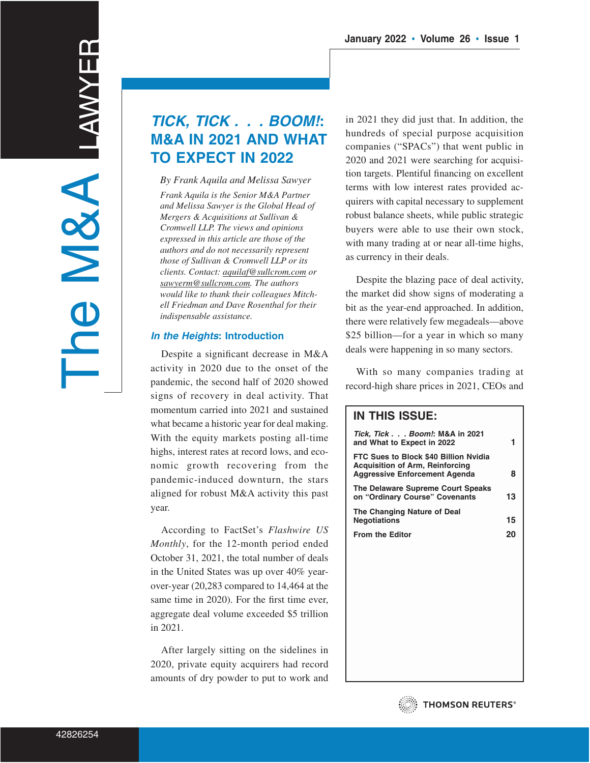# **TICK, TICK . . . BOOM!: M&A IN 2021 AND WHAT TO EXPECT IN 2022**

*By Frank Aquila and Melissa Sawyer Frank Aquila is the Senior M&A Partner and Melissa Sawyer is the Global Head of Mergers & Acquisitions at Sullivan & Cromwell LLP. The views and opinions expressed in this article are those of the authors and do not necessarily represent those of Sullivan & Cromwell LLP or its clients. Contact: aquilaf@sullcrom.com or sawyerm@sullcrom.com. The authors would like to thank their colleagues Mitchell Friedman and Dave Rosenthal for their indispensable assistance.*

# **In the Heights: Introduction**

Despite a significant decrease in M&A activity in 2020 due to the onset of the pandemic, the second half of 2020 showed signs of recovery in deal activity. That momentum carried into 2021 and sustained what became a historic year for deal making. With the equity markets posting all-time highs, interest rates at record lows, and economic growth recovering from the pandemic-induced downturn, the stars aligned for robust M&A activity this past year.

According to FactSet's *Flashwire US Monthly*, for the 12-month period ended October 31, 2021, the total number of deals in the United States was up over 40% yearover-year (20,283 compared to 14,464 at the same time in 2020). For the first time ever, aggregate deal volume exceeded \$5 trillion in 2021.

After largely sitting on the sidelines in 2020, private equity acquirers had record amounts of dry powder to put to work and in 2021 they did just that. In addition, the hundreds of special purpose acquisition companies ("SPACs") that went public in 2020 and 2021 were searching for acquisition targets. Plentiful financing on excellent terms with low interest rates provided acquirers with capital necessary to supplement robust balance sheets, while public strategic buyers were able to use their own stock, with many trading at or near all-time highs, as currency in their deals.

Despite the blazing pace of deal activity, the market did show signs of moderating a bit as the year-end approached. In addition, there were relatively few megadeals—above \$25 billion—for a year in which so many deals were happening in so many sectors.

With so many companies trading at record-high share prices in 2021, CEOs and

| <b>IN THIS ISSUE:</b>                                                                                                   |    |
|-------------------------------------------------------------------------------------------------------------------------|----|
| Tick, Tick Boom!: M&A in 2021<br>and What to Expect in 2022                                                             | 1  |
| FTC Sues to Block \$40 Billion Nvidia<br><b>Acquisition of Arm, Reinforcing</b><br><b>Aggressive Enforcement Agenda</b> | 8  |
| The Delaware Supreme Court Speaks<br>on "Ordinary Course" Covenants                                                     | 13 |
| The Changing Nature of Deal<br><b>Negotiations</b>                                                                      | 15 |
| <b>From the Editor</b>                                                                                                  | 20 |
|                                                                                                                         |    |
|                                                                                                                         |    |
|                                                                                                                         |    |
|                                                                                                                         |    |
|                                                                                                                         |    |
|                                                                                                                         |    |
|                                                                                                                         |    |

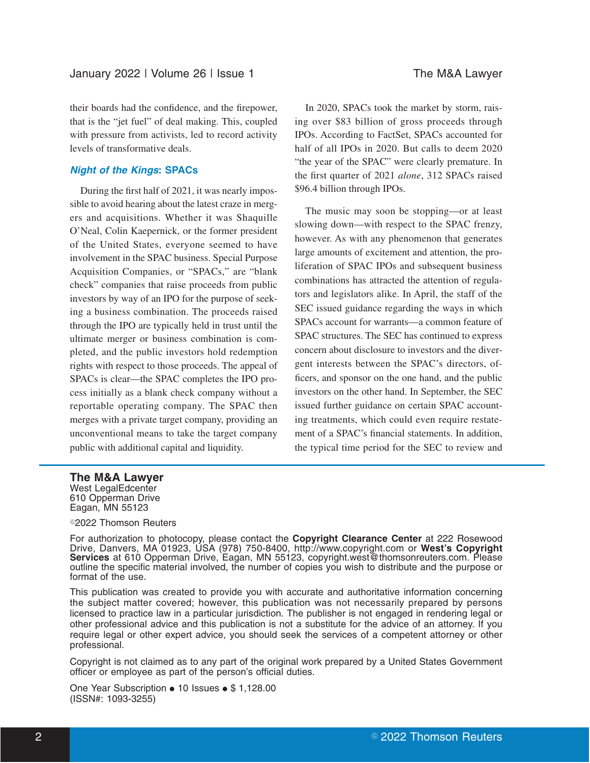their boards had the confidence, and the firepower, that is the "jet fuel" of deal making. This, coupled with pressure from activists, led to record activity levels of transformative deals.

#### **Night of the Kings: SPACs**

During the first half of 2021, it was nearly impossible to avoid hearing about the latest craze in mergers and acquisitions. Whether it was Shaquille O'Neal, Colin Kaepernick, or the former president of the United States, everyone seemed to have involvement in the SPAC business. Special Purpose Acquisition Companies, or "SPACs," are "blank check" companies that raise proceeds from public investors by way of an IPO for the purpose of seeking a business combination. The proceeds raised through the IPO are typically held in trust until the ultimate merger or business combination is completed, and the public investors hold redemption rights with respect to those proceeds. The appeal of SPACs is clear—the SPAC completes the IPO process initially as a blank check company without a reportable operating company. The SPAC then merges with a private target company, providing an unconventional means to take the target company public with additional capital and liquidity.

In 2020, SPACs took the market by storm, raising over \$83 billion of gross proceeds through IPOs. According to FactSet, SPACs accounted for half of all IPOs in 2020. But calls to deem 2020 "the year of the SPAC" were clearly premature. In the first quarter of 2021 *alone*, 312 SPACs raised \$96.4 billion through IPOs.

The music may soon be stopping—or at least slowing down—with respect to the SPAC frenzy, however. As with any phenomenon that generates large amounts of excitement and attention, the proliferation of SPAC IPOs and subsequent business combinations has attracted the attention of regulators and legislators alike. In April, the staff of the SEC issued guidance regarding the ways in which SPACs account for warrants—a common feature of SPAC structures. The SEC has continued to express concern about disclosure to investors and the divergent interests between the SPAC's directors, officers, and sponsor on the one hand, and the public investors on the other hand. In September, the SEC issued further guidance on certain SPAC accounting treatments, which could even require restatement of a SPAC's financial statements. In addition, the typical time period for the SEC to review and

#### **The M&A Lawyer**

West LegalEdcenter 610 Opperman Drive Eagan, MN 55123

#### <sup>©</sup>2022 Thomson Reuters

For authorization to photocopy, please contact the **Copyright Clearance Center** at 222 Rosewood Drive, Danvers, MA 01923, USA (978) 750-8400, http://www.copyright.com or **West's Copyright Services** at 610 Opperman Drive, Eagan, MN 55123, copyright.west@thomsonreuters.com. Please outline the specific material involved, the number of copies you wish to distribute and the purpose or format of the use.

This publication was created to provide you with accurate and authoritative information concerning the subject matter covered; however, this publication was not necessarily prepared by persons licensed to practice law in a particular jurisdiction. The publisher is not engaged in rendering legal or other professional advice and this publication is not a substitute for the advice of an attorney. If you require legal or other expert advice, you should seek the services of a competent attorney or other professional.

Copyright is not claimed as to any part of the original work prepared by a United States Government officer or employee as part of the person's official duties.

One Year Subscription . 10 Issues . \$ 1,128.00 (ISSN#: 1093-3255)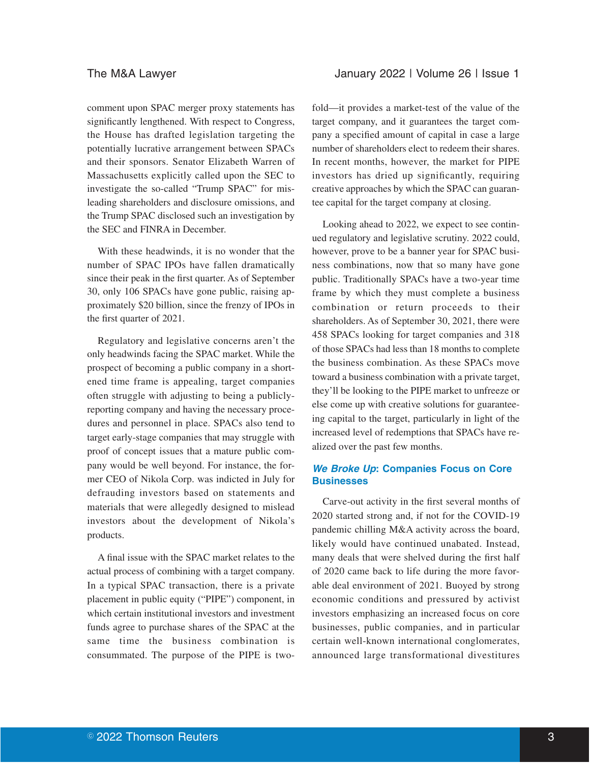comment upon SPAC merger proxy statements has significantly lengthened. With respect to Congress, the House has drafted legislation targeting the potentially lucrative arrangement between SPACs and their sponsors. Senator Elizabeth Warren of Massachusetts explicitly called upon the SEC to investigate the so-called "Trump SPAC" for misleading shareholders and disclosure omissions, and the Trump SPAC disclosed such an investigation by the SEC and FINRA in December.

With these headwinds, it is no wonder that the number of SPAC IPOs have fallen dramatically since their peak in the first quarter. As of September 30, only 106 SPACs have gone public, raising approximately \$20 billion, since the frenzy of IPOs in the first quarter of 2021.

Regulatory and legislative concerns aren't the only headwinds facing the SPAC market. While the prospect of becoming a public company in a shortened time frame is appealing, target companies often struggle with adjusting to being a publiclyreporting company and having the necessary procedures and personnel in place. SPACs also tend to target early-stage companies that may struggle with proof of concept issues that a mature public company would be well beyond. For instance, the former CEO of Nikola Corp. was indicted in July for defrauding investors based on statements and materials that were allegedly designed to mislead investors about the development of Nikola's products.

A final issue with the SPAC market relates to the actual process of combining with a target company. In a typical SPAC transaction, there is a private placement in public equity ("PIPE") component, in which certain institutional investors and investment funds agree to purchase shares of the SPAC at the same time the business combination is consummated. The purpose of the PIPE is two-

fold—it provides a market-test of the value of the target company, and it guarantees the target company a specified amount of capital in case a large number of shareholders elect to redeem their shares. In recent months, however, the market for PIPE investors has dried up significantly, requiring creative approaches by which the SPAC can guarantee capital for the target company at closing.

Looking ahead to 2022, we expect to see continued regulatory and legislative scrutiny. 2022 could, however, prove to be a banner year for SPAC business combinations, now that so many have gone public. Traditionally SPACs have a two-year time frame by which they must complete a business combination or return proceeds to their shareholders. As of September 30, 2021, there were 458 SPACs looking for target companies and 318 of those SPACs had less than 18 months to complete the business combination. As these SPACs move toward a business combination with a private target, they'll be looking to the PIPE market to unfreeze or else come up with creative solutions for guaranteeing capital to the target, particularly in light of the increased level of redemptions that SPACs have realized over the past few months.

# **We Broke Up: Companies Focus on Core Businesses**

Carve-out activity in the first several months of 2020 started strong and, if not for the COVID-19 pandemic chilling M&A activity across the board, likely would have continued unabated. Instead, many deals that were shelved during the first half of 2020 came back to life during the more favorable deal environment of 2021. Buoyed by strong economic conditions and pressured by activist investors emphasizing an increased focus on core businesses, public companies, and in particular certain well-known international conglomerates, announced large transformational divestitures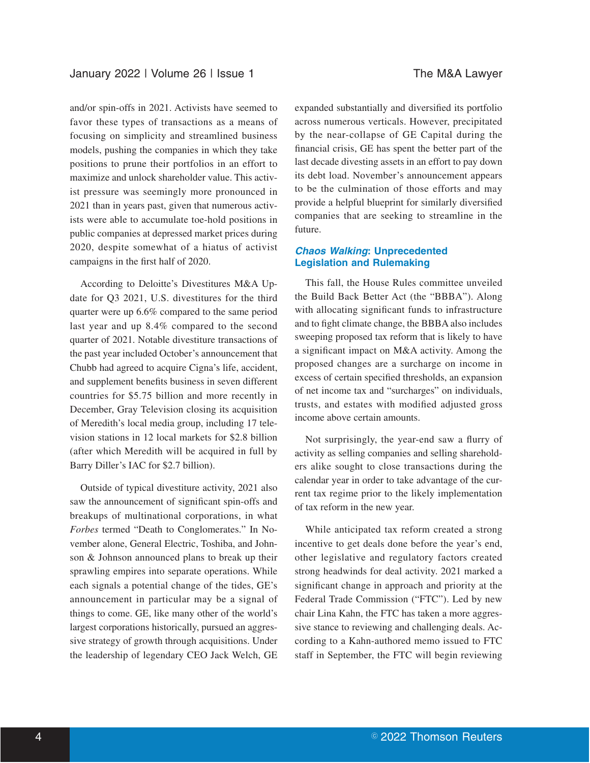and/or spin-offs in 2021. Activists have seemed to favor these types of transactions as a means of focusing on simplicity and streamlined business models, pushing the companies in which they take positions to prune their portfolios in an effort to maximize and unlock shareholder value. This activist pressure was seemingly more pronounced in 2021 than in years past, given that numerous activists were able to accumulate toe-hold positions in public companies at depressed market prices during 2020, despite somewhat of a hiatus of activist campaigns in the first half of 2020.

According to Deloitte's Divestitures M&A Update for Q3 2021, U.S. divestitures for the third quarter were up 6.6% compared to the same period last year and up 8.4% compared to the second quarter of 2021. Notable divestiture transactions of the past year included October's announcement that Chubb had agreed to acquire Cigna's life, accident, and supplement benefits business in seven different countries for \$5.75 billion and more recently in December, Gray Television closing its acquisition of Meredith's local media group, including 17 television stations in 12 local markets for \$2.8 billion (after which Meredith will be acquired in full by Barry Diller's IAC for \$2.7 billion).

Outside of typical divestiture activity, 2021 also saw the announcement of significant spin-offs and breakups of multinational corporations, in what *Forbes* termed "Death to Conglomerates." In November alone, General Electric, Toshiba, and Johnson & Johnson announced plans to break up their sprawling empires into separate operations. While each signals a potential change of the tides, GE's announcement in particular may be a signal of things to come. GE, like many other of the world's largest corporations historically, pursued an aggressive strategy of growth through acquisitions. Under the leadership of legendary CEO Jack Welch, GE expanded substantially and diversified its portfolio across numerous verticals. However, precipitated by the near-collapse of GE Capital during the financial crisis, GE has spent the better part of the last decade divesting assets in an effort to pay down its debt load. November's announcement appears to be the culmination of those efforts and may provide a helpful blueprint for similarly diversified companies that are seeking to streamline in the future.

# **Chaos Walking: Unprecedented Legislation and Rulemaking**

This fall, the House Rules committee unveiled the Build Back Better Act (the "BBBA"). Along with allocating significant funds to infrastructure and to fight climate change, the BBBA also includes sweeping proposed tax reform that is likely to have a significant impact on M&A activity. Among the proposed changes are a surcharge on income in excess of certain specified thresholds, an expansion of net income tax and "surcharges" on individuals, trusts, and estates with modified adjusted gross income above certain amounts.

Not surprisingly, the year-end saw a flurry of activity as selling companies and selling shareholders alike sought to close transactions during the calendar year in order to take advantage of the current tax regime prior to the likely implementation of tax reform in the new year.

While anticipated tax reform created a strong incentive to get deals done before the year's end, other legislative and regulatory factors created strong headwinds for deal activity. 2021 marked a significant change in approach and priority at the Federal Trade Commission ("FTC"). Led by new chair Lina Kahn, the FTC has taken a more aggressive stance to reviewing and challenging deals. According to a Kahn-authored memo issued to FTC staff in September, the FTC will begin reviewing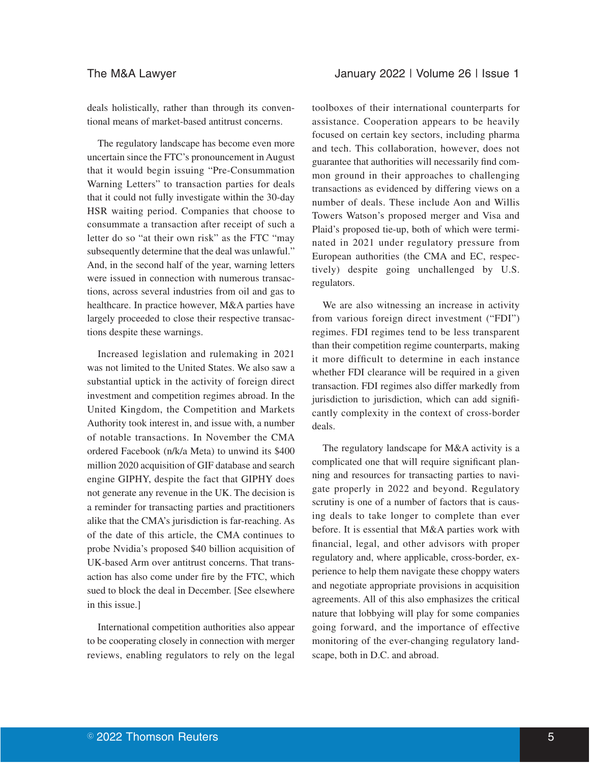deals holistically, rather than through its conventional means of market-based antitrust concerns.

The regulatory landscape has become even more uncertain since the FTC's pronouncement in August that it would begin issuing "Pre-Consummation Warning Letters" to transaction parties for deals that it could not fully investigate within the 30-day HSR waiting period. Companies that choose to consummate a transaction after receipt of such a letter do so "at their own risk" as the FTC "may subsequently determine that the deal was unlawful." And, in the second half of the year, warning letters were issued in connection with numerous transactions, across several industries from oil and gas to healthcare. In practice however, M&A parties have largely proceeded to close their respective transactions despite these warnings.

Increased legislation and rulemaking in 2021 was not limited to the United States. We also saw a substantial uptick in the activity of foreign direct investment and competition regimes abroad. In the United Kingdom, the Competition and Markets Authority took interest in, and issue with, a number of notable transactions. In November the CMA ordered Facebook (n/k/a Meta) to unwind its \$400 million 2020 acquisition of GIF database and search engine GIPHY, despite the fact that GIPHY does not generate any revenue in the UK. The decision is a reminder for transacting parties and practitioners alike that the CMA's jurisdiction is far-reaching. As of the date of this article, the CMA continues to probe Nvidia's proposed \$40 billion acquisition of UK-based Arm over antitrust concerns. That transaction has also come under fire by the FTC, which sued to block the deal in December. [See elsewhere in this issue.]

International competition authorities also appear to be cooperating closely in connection with merger reviews, enabling regulators to rely on the legal

toolboxes of their international counterparts for assistance. Cooperation appears to be heavily focused on certain key sectors, including pharma and tech. This collaboration, however, does not guarantee that authorities will necessarily find common ground in their approaches to challenging transactions as evidenced by differing views on a number of deals. These include Aon and Willis Towers Watson's proposed merger and Visa and Plaid's proposed tie-up, both of which were terminated in 2021 under regulatory pressure from European authorities (the CMA and EC, respectively) despite going unchallenged by U.S. regulators.

We are also witnessing an increase in activity from various foreign direct investment ("FDI") regimes. FDI regimes tend to be less transparent than their competition regime counterparts, making it more difficult to determine in each instance whether FDI clearance will be required in a given transaction. FDI regimes also differ markedly from jurisdiction to jurisdiction, which can add significantly complexity in the context of cross-border deals.

The regulatory landscape for M&A activity is a complicated one that will require significant planning and resources for transacting parties to navigate properly in 2022 and beyond. Regulatory scrutiny is one of a number of factors that is causing deals to take longer to complete than ever before. It is essential that M&A parties work with financial, legal, and other advisors with proper regulatory and, where applicable, cross-border, experience to help them navigate these choppy waters and negotiate appropriate provisions in acquisition agreements. All of this also emphasizes the critical nature that lobbying will play for some companies going forward, and the importance of effective monitoring of the ever-changing regulatory landscape, both in D.C. and abroad.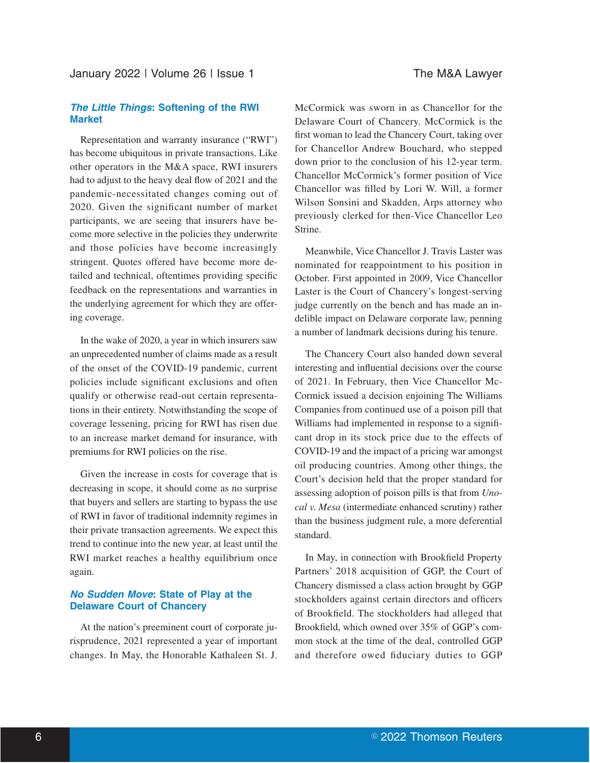### January 2022 | Volume 26 | Issue 1 The M&A Lawyer

#### **The Little Things: Softening of the RWI Market**

Representation and warranty insurance ("RWI") has become ubiquitous in private transactions. Like other operators in the M&A space, RWI insurers had to adjust to the heavy deal flow of 2021 and the pandemic-necessitated changes coming out of 2020. Given the significant number of market participants, we are seeing that insurers have become more selective in the policies they underwrite and those policies have become increasingly stringent. Quotes offered have become more detailed and technical, oftentimes providing specific feedback on the representations and warranties in the underlying agreement for which they are offering coverage.

In the wake of 2020, a year in which insurers saw an unprecedented number of claims made as a result of the onset of the COVID-19 pandemic, current policies include significant exclusions and often qualify or otherwise read-out certain representations in their entirety. Notwithstanding the scope of coverage lessening, pricing for RWI has risen due to an increase market demand for insurance, with premiums for RWI policies on the rise.

Given the increase in costs for coverage that is decreasing in scope, it should come as no surprise that buyers and sellers are starting to bypass the use of RWI in favor of traditional indemnity regimes in their private transaction agreements. We expect this trend to continue into the new year, at least until the RWI market reaches a healthy equilibrium once again.

# **No Sudden Move: State of Play at the Delaware Court of Chancery**

At the nation's preeminent court of corporate jurisprudence, 2021 represented a year of important changes. In May, the Honorable Kathaleen St. J.

McCormick was sworn in as Chancellor for the Delaware Court of Chancery. McCormick is the first woman to lead the Chancery Court, taking over for Chancellor Andrew Bouchard, who stepped down prior to the conclusion of his 12-year term. Chancellor McCormick's former position of Vice Chancellor was filled by Lori W. Will, a former Wilson Sonsini and Skadden, Arps attorney who previously clerked for then-Vice Chancellor Leo Strine.

Meanwhile, Vice Chancellor J. Travis Laster was nominated for reappointment to his position in October. First appointed in 2009, Vice Chancellor Laster is the Court of Chancery's longest-serving judge currently on the bench and has made an indelible impact on Delaware corporate law, penning a number of landmark decisions during his tenure.

The Chancery Court also handed down several interesting and influential decisions over the course of 2021. In February, then Vice Chancellor Mc-Cormick issued a decision enjoining The Williams Companies from continued use of a poison pill that Williams had implemented in response to a significant drop in its stock price due to the effects of COVID-19 and the impact of a pricing war amongst oil producing countries. Among other things, the Court's decision held that the proper standard for assessing adoption of poison pills is that from *Unocal v. Mesa* (intermediate enhanced scrutiny) rather than the business judgment rule, a more deferential standard.

In May, in connection with Brookfield Property Partners' 2018 acquisition of GGP, the Court of Chancery dismissed a class action brought by GGP stockholders against certain directors and officers of Brookfield. The stockholders had alleged that Brookfield, which owned over 35% of GGP's common stock at the time of the deal, controlled GGP and therefore owed fiduciary duties to GGP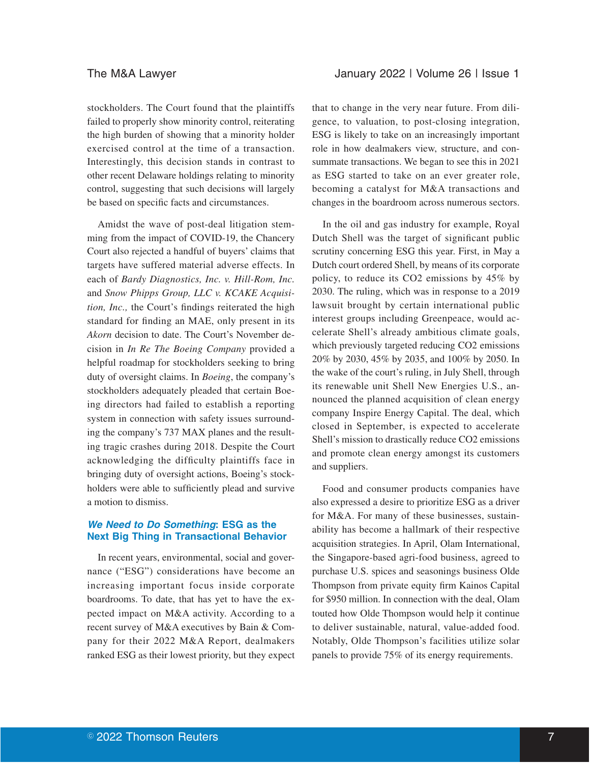stockholders. The Court found that the plaintiffs failed to properly show minority control, reiterating the high burden of showing that a minority holder exercised control at the time of a transaction. Interestingly, this decision stands in contrast to other recent Delaware holdings relating to minority control, suggesting that such decisions will largely be based on specific facts and circumstances.

Amidst the wave of post-deal litigation stemming from the impact of COVID-19, the Chancery Court also rejected a handful of buyers' claims that targets have suffered material adverse effects. In each of *Bardy Diagnostics, Inc. v. Hill-Rom, Inc.* and *Snow Phipps Group, LLC v. KCAKE Acquisition, Inc.,* the Court's findings reiterated the high standard for finding an MAE, only present in its *Akorn* decision to date. The Court's November decision in *In Re The Boeing Company* provided a helpful roadmap for stockholders seeking to bring duty of oversight claims. In *Boeing*, the company's stockholders adequately pleaded that certain Boeing directors had failed to establish a reporting system in connection with safety issues surrounding the company's 737 MAX planes and the resulting tragic crashes during 2018. Despite the Court acknowledging the difficulty plaintiffs face in bringing duty of oversight actions, Boeing's stockholders were able to sufficiently plead and survive a motion to dismiss.

# **We Need to Do Something: ESG as the Next Big Thing in Transactional Behavior**

In recent years, environmental, social and governance ("ESG") considerations have become an increasing important focus inside corporate boardrooms. To date, that has yet to have the expected impact on M&A activity. According to a recent survey of M&A executives by Bain & Company for their 2022 M&A Report, dealmakers ranked ESG as their lowest priority, but they expect that to change in the very near future. From diligence, to valuation, to post-closing integration, ESG is likely to take on an increasingly important role in how dealmakers view, structure, and consummate transactions. We began to see this in 2021 as ESG started to take on an ever greater role, becoming a catalyst for M&A transactions and changes in the boardroom across numerous sectors.

In the oil and gas industry for example, Royal Dutch Shell was the target of significant public scrutiny concerning ESG this year. First, in May a Dutch court ordered Shell, by means of its corporate policy, to reduce its CO2 emissions by 45% by 2030. The ruling, which was in response to a 2019 lawsuit brought by certain international public interest groups including Greenpeace, would accelerate Shell's already ambitious climate goals, which previously targeted reducing CO2 emissions 20% by 2030, 45% by 2035, and 100% by 2050. In the wake of the court's ruling, in July Shell, through its renewable unit Shell New Energies U.S., announced the planned acquisition of clean energy company Inspire Energy Capital. The deal, which closed in September, is expected to accelerate Shell's mission to drastically reduce CO2 emissions and promote clean energy amongst its customers and suppliers.

Food and consumer products companies have also expressed a desire to prioritize ESG as a driver for M&A. For many of these businesses, sustainability has become a hallmark of their respective acquisition strategies. In April, Olam International, the Singapore-based agri-food business, agreed to purchase U.S. spices and seasonings business Olde Thompson from private equity firm Kainos Capital for \$950 million. In connection with the deal, Olam touted how Olde Thompson would help it continue to deliver sustainable, natural, value-added food. Notably, Olde Thompson's facilities utilize solar panels to provide 75% of its energy requirements.